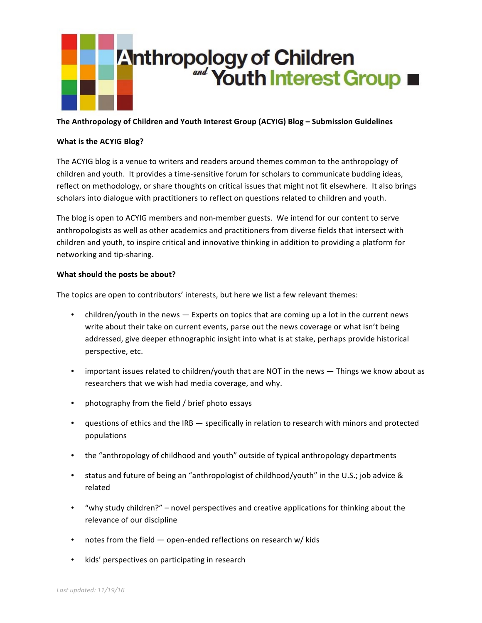

## The Anthropology of Children and Youth Interest Group (ACYIG) Blog – Submission Guidelines

## **What is the ACYIG Blog?**

The ACYIG blog is a venue to writers and readers around themes common to the anthropology of children and youth. It provides a time-sensitive forum for scholars to communicate budding ideas, reflect on methodology, or share thoughts on critical issues that might not fit elsewhere. It also brings scholars into dialogue with practitioners to reflect on questions related to children and youth.

The blog is open to ACYIG members and non-member guests. We intend for our content to serve anthropologists as well as other academics and practitioners from diverse fields that intersect with children and youth, to inspire critical and innovative thinking in addition to providing a platform for networking and tip-sharing.

## **What should the posts be about?**

The topics are open to contributors' interests, but here we list a few relevant themes:

- children/youth in the news Experts on topics that are coming up a lot in the current news write about their take on current events, parse out the news coverage or what isn't being addressed, give deeper ethnographic insight into what is at stake, perhaps provide historical perspective, etc.
- important issues related to children/youth that are NOT in the news Things we know about as researchers that we wish had media coverage, and why.
- photography from the field / brief photo essays
- questions of ethics and the IRB specifically in relation to research with minors and protected populations
- the "anthropology of childhood and youth" outside of typical anthropology departments
- status and future of being an "anthropologist of childhood/youth" in the U.S.; job advice & related
- "why study children?" novel perspectives and creative applications for thinking about the relevance of our discipline
- notes from the field  $-$  open-ended reflections on research w/ kids
- kids' perspectives on participating in research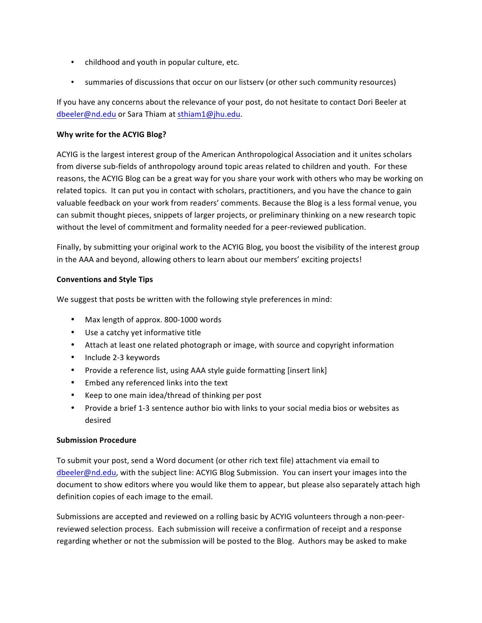- childhood and youth in popular culture, etc.
- summaries of discussions that occur on our listserv (or other such community resources)

If you have any concerns about the relevance of your post, do not hesitate to contact Dori Beeler at dbeeler@nd.edu or Sara Thiam at sthiam1@jhu.edu.

# **Why write for the ACYIG Blog?**

ACYIG is the largest interest group of the American Anthropological Association and it unites scholars from diverse sub-fields of anthropology around topic areas related to children and youth. For these reasons, the ACYIG Blog can be a great way for you share your work with others who may be working on related topics. It can put you in contact with scholars, practitioners, and you have the chance to gain valuable feedback on your work from readers' comments. Because the Blog is a less formal venue, you can submit thought pieces, snippets of larger projects, or preliminary thinking on a new research topic without the level of commitment and formality needed for a peer-reviewed publication.

Finally, by submitting your original work to the ACYIG Blog, you boost the visibility of the interest group in the AAA and beyond, allowing others to learn about our members' exciting projects!

## **Conventions and Style Tips**

We suggest that posts be written with the following style preferences in mind:

- Max length of approx. 800-1000 words
- Use a catchy yet informative title
- Attach at least one related photograph or image, with source and copyright information
- Include 2-3 keywords
- Provide a reference list, using AAA style guide formatting [insert link]
- Embed any referenced links into the text
- Keep to one main idea/thread of thinking per post
- Provide a brief 1-3 sentence author bio with links to your social media bios or websites as desired

#### **Submission Procedure**

To submit your post, send a Word document (or other rich text file) attachment via email to dbeeler@nd.edu, with the subject line: ACYIG Blog Submission. You can insert your images into the document to show editors where you would like them to appear, but please also separately attach high definition copies of each image to the email.

Submissions are accepted and reviewed on a rolling basic by ACYIG volunteers through a non-peerreviewed selection process. Each submission will receive a confirmation of receipt and a response regarding whether or not the submission will be posted to the Blog. Authors may be asked to make